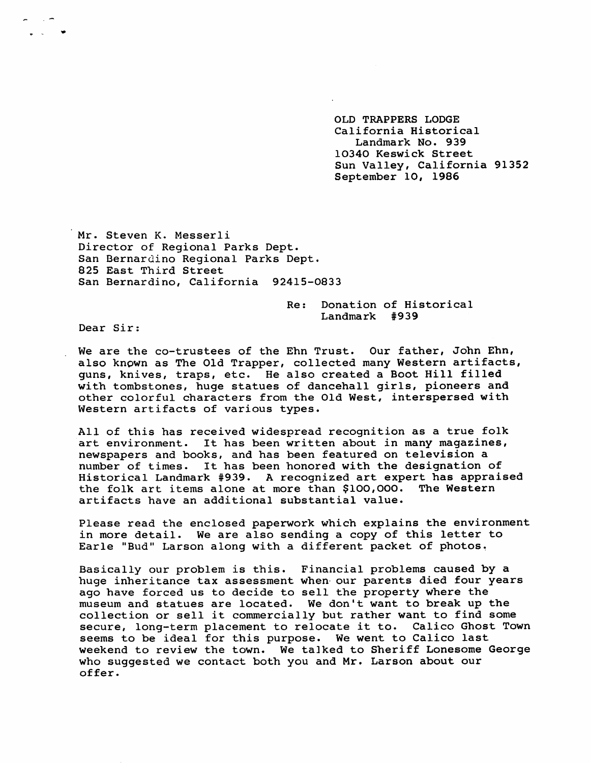OLD TRAPPERS LODGE California Historical Landmark No. 939 10340 Keswick Street Sun Valley, California 91352 September 10, 1986

Mr. Steven K. Messerli Director of Regional Parks Dept. San Bernardino Regional Parks Dept. 825 East Third Street San Bernardino, California 92415-0833

> Re: Donation of Historical  $Landmark$  #939

Dear Sir:

We are the co-trustees of the Ehn Trust. Our father, John Ehn, also known as The Old Trapper, collected many Western artifacts, quns, knives, traps, etc. He also created a Boot Hill filled with tombstones, huge statues of dancehall girls, pioneers and other colorful characters from the Old West, interspersed with Western artifacts of various types.

All of this has received widespread recognition as a true folk art environment. It has been written about in many magazines, new spapers and books, and has been featured on television a number of times. It has been honored with the designation of Historical Landmark # 939. A recognized art expert has appraised the folk art items alone at more than \$100,000. The Western artifacts have an additional substantial value.

Please read the enclosed paperwork which explains the environment in more detail. We are also sending a copy of this letter to Earle "Bud" Larson along with a different packet of photos.

Basically our problem is this. Financial problems caused by a huge inheritance tax assessment when our parents died four years ago have forced us to decide to sell the property where the museum and statues are located. We don't want to break up the collection or sell it commercially but rather want to find some secure, long-term placement to relocate it to. Calico Ghost Town seems to be ideal for this purpose. We went to Calico last weekend to review the town. We talked to Sheriff Lonesome George who suqqested we contact both you and Mr. Larson about our offer.